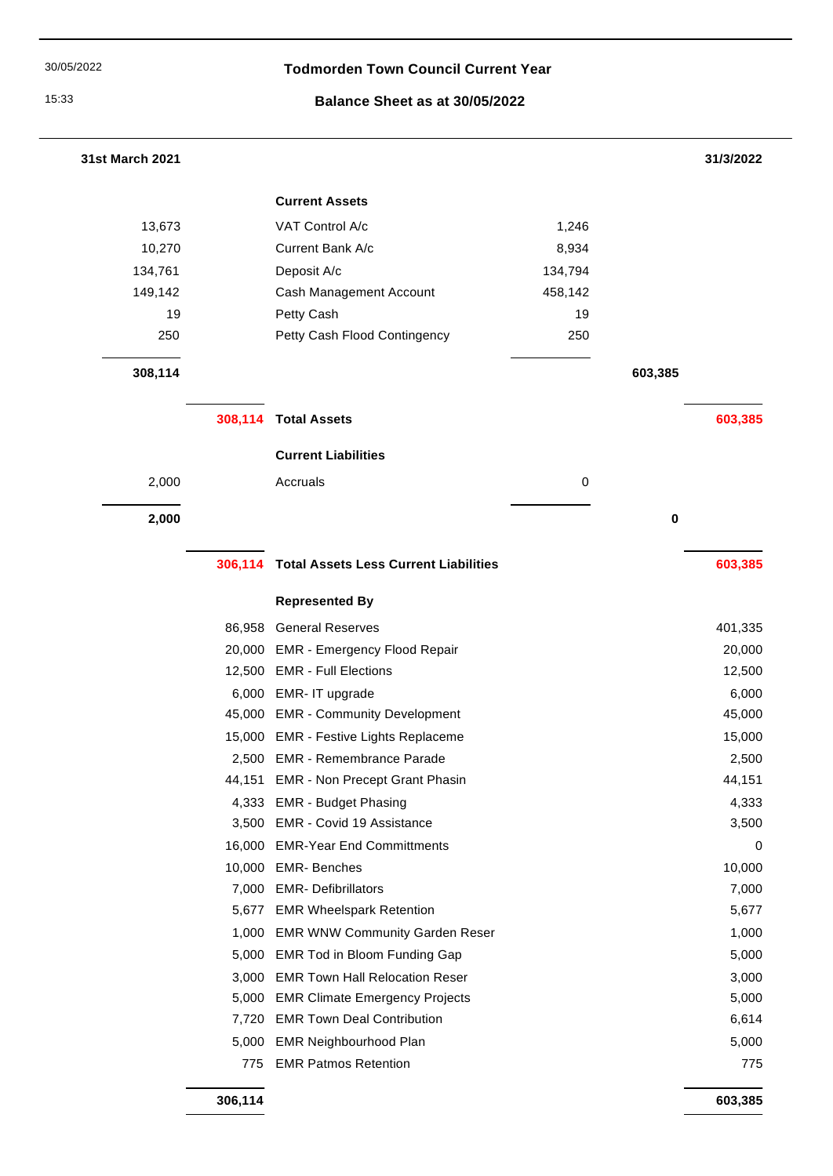$\overline{\phantom{0}}$ 

## 30/05/2022 **Todmorden Town Council Current Year**

### 15:33 **Balance Sheet as at 30/05/2022**

| 31st March 2021 |         |                                              |             |         | 31/3/2022 |
|-----------------|---------|----------------------------------------------|-------------|---------|-----------|
|                 |         | <b>Current Assets</b>                        |             |         |           |
| 13,673          |         | VAT Control A/c                              | 1,246       |         |           |
| 10,270          |         | Current Bank A/c                             | 8,934       |         |           |
| 134,761         |         | Deposit A/c                                  | 134,794     |         |           |
| 149,142         |         | Cash Management Account                      | 458,142     |         |           |
| 19              |         | Petty Cash                                   | 19          |         |           |
| 250             |         | Petty Cash Flood Contingency                 | 250         |         |           |
| 308,114         |         |                                              |             | 603,385 |           |
|                 |         | 308,114 Total Assets                         |             |         | 603,385   |
|                 |         | <b>Current Liabilities</b>                   |             |         |           |
| 2,000           |         | Accruals                                     | $\mathbf 0$ |         |           |
|                 |         |                                              |             |         |           |
| 2,000           |         |                                              |             | 0       |           |
|                 | 306,114 | <b>Total Assets Less Current Liabilities</b> |             |         | 603,385   |
|                 |         | <b>Represented By</b>                        |             |         |           |
|                 | 86,958  | <b>General Reserves</b>                      |             |         | 401,335   |
|                 |         | 20,000 EMR - Emergency Flood Repair          |             |         | 20,000    |
|                 |         | 12,500 EMR - Full Elections                  |             |         | 12,500    |
|                 |         | 6,000 EMR- IT upgrade                        |             |         | 6,000     |
|                 |         | 45,000 EMR - Community Development           |             |         | 45,000    |
|                 |         | 15,000 EMR - Festive Lights Replaceme        |             |         | 15,000    |
|                 |         | 2,500 EMR - Remembrance Parade               |             |         | 2,500     |
|                 | 44,151  | <b>EMR - Non Precept Grant Phasin</b>        |             |         | 44,151    |
|                 | 4,333   | <b>EMR - Budget Phasing</b>                  |             |         | 4,333     |
|                 |         | 3,500 EMR - Covid 19 Assistance              |             |         | 3,500     |
|                 | 16,000  | <b>EMR-Year End Committments</b>             |             |         | 0         |
|                 |         | 10,000 EMR-Benches                           |             |         | 10,000    |
|                 | 7,000   | <b>EMR- Defibrillators</b>                   |             |         | 7,000     |
|                 |         | 5,677 EMR Wheelspark Retention               |             |         | 5,677     |
|                 |         | 1,000 EMR WNW Community Garden Reser         |             |         | 1,000     |
|                 |         | 5,000 EMR Tod in Bloom Funding Gap           |             |         | 5,000     |
|                 | 3,000   | <b>EMR Town Hall Relocation Reser</b>        |             |         | 3,000     |
|                 | 5,000   | <b>EMR Climate Emergency Projects</b>        |             |         | 5,000     |
|                 |         | 7,720 EMR Town Deal Contribution             |             |         | 6,614     |
|                 | 5,000   | <b>EMR Neighbourhood Plan</b>                |             |         | 5,000     |
|                 | 775     | <b>EMR Patmos Retention</b>                  |             |         | 775       |
|                 |         |                                              |             |         |           |

**306,114 603,385**